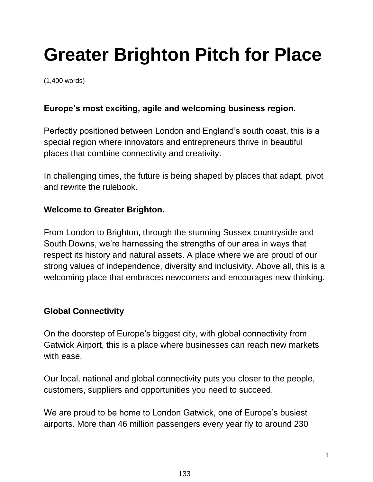# **Greater Brighton Pitch for Place**

(1,400 words)

## **Europe's most exciting, agile and welcoming business region.**

Perfectly positioned between London and England's south coast, this is a special region where innovators and entrepreneurs thrive in beautiful places that combine connectivity and creativity.

In challenging times, the future is being shaped by places that adapt, pivot and rewrite the rulebook.

#### **Welcome to Greater Brighton.**

From London to Brighton, through the stunning Sussex countryside and South Downs, we're harnessing the strengths of our area in ways that respect its history and natural assets. A place where we are proud of our strong values of independence, diversity and inclusivity. Above all, this is a welcoming place that embraces newcomers and encourages new thinking.

## **Global Connectivity**

On the doorstep of Europe's biggest city, with global connectivity from Gatwick Airport, this is a place where businesses can reach new markets with ease.

Our local, national and global connectivity puts you closer to the people, customers, suppliers and opportunities you need to succeed.

We are proud to be home to London Gatwick, one of Europe's busiest airports. More than 46 million passengers every year fly to around 230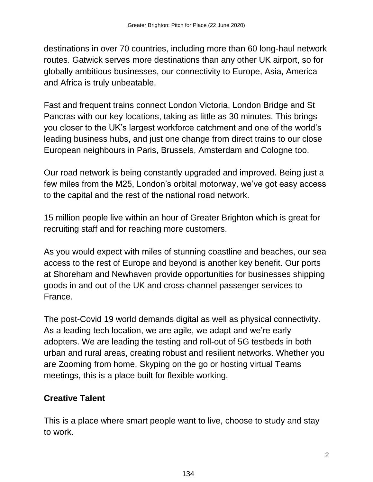destinations in over 70 countries, including more than 60 long-haul network routes. Gatwick serves more destinations than any other UK airport, so for globally ambitious businesses, our connectivity to Europe, Asia, America and Africa is truly unbeatable.

Fast and frequent trains connect London Victoria, London Bridge and St Pancras with our key locations, taking as little as 30 minutes. This brings you closer to the UK's largest workforce catchment and one of the world's leading business hubs, and just one change from direct trains to our close European neighbours in Paris, Brussels, Amsterdam and Cologne too.

Our road network is being constantly upgraded and improved. Being just a few miles from the M25, London's orbital motorway, we've got easy access to the capital and the rest of the national road network.

15 million people live within an hour of Greater Brighton which is great for recruiting staff and for reaching more customers.

As you would expect with miles of stunning coastline and beaches, our sea access to the rest of Europe and beyond is another key benefit. Our ports at Shoreham and Newhaven provide opportunities for businesses shipping goods in and out of the UK and cross-channel passenger services to France.

The post-Covid 19 world demands digital as well as physical connectivity. As a leading tech location, we are agile, we adapt and we're early adopters. We are leading the testing and roll-out of 5G testbeds in both urban and rural areas, creating robust and resilient networks. Whether you are Zooming from home, Skyping on the go or hosting virtual Teams meetings, this is a place built for flexible working.

# **Creative Talent**

This is a place where smart people want to live, choose to study and stay to work.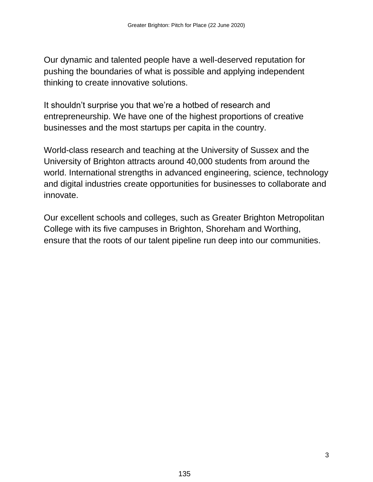Our dynamic and talented people have a well-deserved reputation for pushing the boundaries of what is possible and applying independent thinking to create innovative solutions.

It shouldn't surprise you that we're a hotbed of research and entrepreneurship. We have one of the highest proportions of creative businesses and the most startups per capita in the country.

World-class research and teaching at the University of Sussex and the University of Brighton attracts around 40,000 students from around the world. International strengths in advanced engineering, science, technology and digital industries create opportunities for businesses to collaborate and innovate.

Our excellent schools and colleges, such as Greater Brighton Metropolitan College with its five campuses in Brighton, Shoreham and Worthing, ensure that the roots of our talent pipeline run deep into our communities.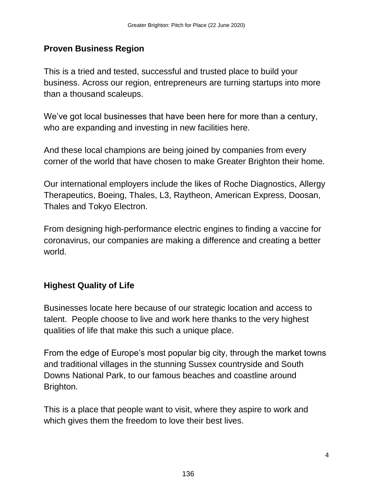## **Proven Business Region**

This is a tried and tested, successful and trusted place to build your business. Across our region, entrepreneurs are turning startups into more than a thousand scaleups.

We've got local businesses that have been here for more than a century, who are expanding and investing in new facilities here.

And these local champions are being joined by companies from every corner of the world that have chosen to make Greater Brighton their home.

Our international employers include the likes of Roche Diagnostics, Allergy Therapeutics, Boeing, Thales, L3, Raytheon, American Express, Doosan, Thales and Tokyo Electron.

From designing high-performance electric engines to finding a vaccine for coronavirus, our companies are making a difference and creating a better world.

# **Highest Quality of Life**

Businesses locate here because of our strategic location and access to talent. People choose to live and work here thanks to the very highest qualities of life that make this such a unique place.

From the edge of Europe's most popular big city, through the market towns and traditional villages in the stunning Sussex countryside and South Downs National Park, to our famous beaches and coastline around Brighton.

This is a place that people want to visit, where they aspire to work and which gives them the freedom to love their best lives.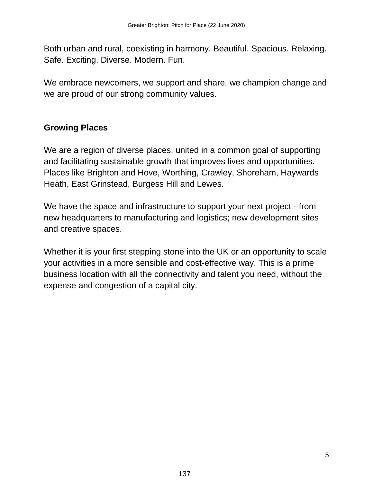Both urban and rural, coexisting in harmony. Beautiful. Spacious. Relaxing. Safe. Exciting. Diverse. Modern. Fun.

We embrace newcomers, we support and share, we champion change and we are proud of our strong community values.

# **Growing Places**

We are a region of diverse places, united in a common goal of supporting and facilitating sustainable growth that improves lives and opportunities. Places like Brighton and Hove, Worthing, Crawley, Shoreham, Haywards Heath, East Grinstead, Burgess Hill and Lewes.

We have the space and infrastructure to support your next project - from new headquarters to manufacturing and logistics; new development sites and creative spaces.

Whether it is your first stepping stone into the UK or an opportunity to scale your activities in a more sensible and cost-effective way. This is a prime business location with all the connectivity and talent you need, without the expense and congestion of a capital city.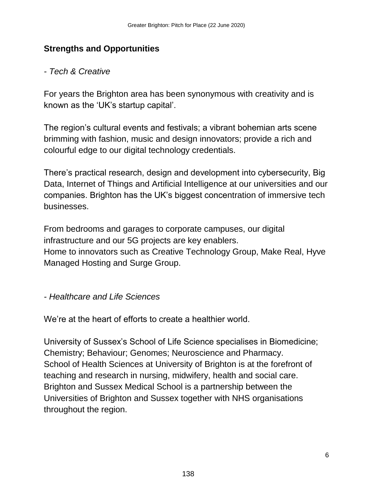## **Strengths and Opportunities**

#### *- Tech & Creative*

For years the Brighton area has been synonymous with creativity and is known as the 'UK's startup capital'.

The region's cultural events and festivals; a vibrant bohemian arts scene brimming with fashion, music and design innovators; provide a rich and colourful edge to our digital technology credentials.

There's practical research, design and development into cybersecurity, Big Data, Internet of Things and Artificial Intelligence at our universities and our companies. Brighton has the UK's biggest concentration of immersive tech businesses.

From bedrooms and garages to corporate campuses, our digital infrastructure and our 5G projects are key enablers. Home to innovators such as Creative Technology Group, Make Real, Hyve Managed Hosting and Surge Group.

#### *- Healthcare and Life Sciences*

We're at the heart of efforts to create a healthier world.

University of Sussex's School of Life Science specialises in Biomedicine; Chemistry; Behaviour; Genomes; Neuroscience and Pharmacy. School of Health Sciences at University of Brighton is at the forefront of teaching and research in nursing, midwifery, health and social care. Brighton and Sussex Medical School is a partnership between the Universities of Brighton and Sussex together with NHS organisations throughout the region.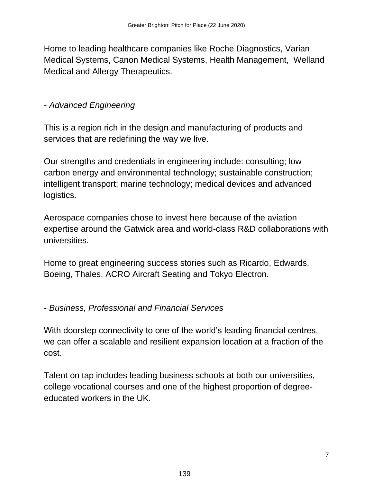Home to leading healthcare companies like Roche Diagnostics, Varian Medical Systems, Canon Medical Systems, Health Management, Welland Medical and Allergy Therapeutics.

## *- Advanced Engineering*

This is a region rich in the design and manufacturing of products and services that are redefining the way we live.

Our strengths and credentials in engineering include: consulting; low carbon energy and environmental technology; sustainable construction; intelligent transport; marine technology; medical devices and advanced logistics.

Aerospace companies chose to invest here because of the aviation expertise around the Gatwick area and world-class R&D collaborations with universities.

Home to great engineering success stories such as Ricardo, Edwards, Boeing, Thales, ACRO Aircraft Seating and Tokyo Electron.

*- Business, Professional and Financial Services*

With doorstep connectivity to one of the world's leading financial centres, we can offer a scalable and resilient expansion location at a fraction of the cost.

Talent on tap includes leading business schools at both our universities, college vocational courses and one of the highest proportion of degreeeducated workers in the UK.